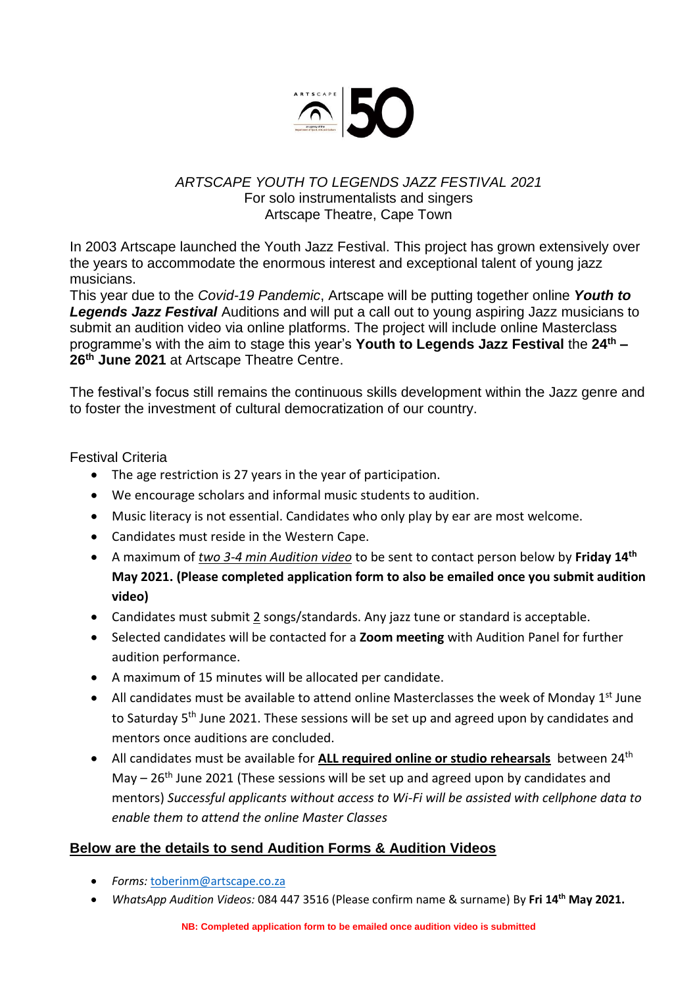

### *ARTSCAPE YOUTH TO LEGENDS JAZZ FESTIVAL 2021* For solo instrumentalists and singers Artscape Theatre, Cape Town

In 2003 Artscape launched the Youth Jazz Festival. This project has grown extensively over the years to accommodate the enormous interest and exceptional talent of young jazz musicians.

This year due to the *Covid-19 Pandemic*, Artscape will be putting together online *Youth to Legends Jazz Festival* Auditions and will put a call out to young aspiring Jazz musicians to submit an audition video via online platforms. The project will include online Masterclass programme's with the aim to stage this year's **Youth to Legends Jazz Festival** the **24th – 26th June 2021** at Artscape Theatre Centre.

The festival's focus still remains the continuous skills development within the Jazz genre and to foster the investment of cultural democratization of our country.

#### Festival Criteria

- The age restriction is 27 years in the year of participation.
- We encourage scholars and informal music students to audition.
- Music literacy is not essential. Candidates who only play by ear are most welcome.
- Candidates must reside in the Western Cape.
- A maximum of *two 3-4 min Audition video* to be sent to contact person below by **Friday 14th May 2021. (Please completed application form to also be emailed once you submit audition video)**
- Candidates must submit 2 songs/standards. Any jazz tune or standard is acceptable.
- Selected candidates will be contacted for a **Zoom meeting** with Audition Panel for further audition performance.
- A maximum of 15 minutes will be allocated per candidate.
- All candidates must be available to attend online Masterclasses the week of Monday  $1<sup>st</sup>$  June to Saturday 5<sup>th</sup> June 2021. These sessions will be set up and agreed upon by candidates and mentors once auditions are concluded.
- All candidates must be available for **ALL required online or studio rehearsals** between 24th May  $-26$ <sup>th</sup> June 2021 (These sessions will be set up and agreed upon by candidates and mentors) *Successful applicants without access to Wi-Fi will be assisted with cellphone data to enable them to attend the online Master Classes*

### **Below are the details to send Audition Forms & Audition Videos**

- *Forms:* [toberinm@artscape.co.za](mailto:toberinm@artscape.co.za)
- *WhatsApp Audition Videos:* 084 447 3516 (Please confirm name & surname) By **Fri 14th May 2021.**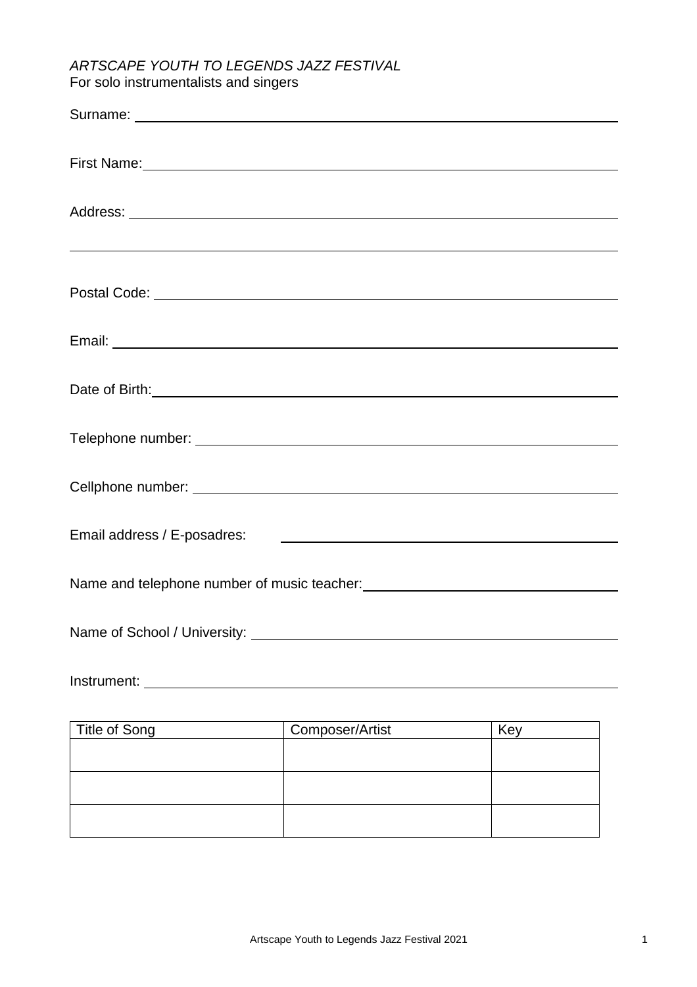# *ARTSCAPE YOUTH TO LEGENDS JAZZ FESTIVAL* For solo instrumentalists and singers

| First Name: 1988 Manual Communication of the Manual Communication of the Manual Communication of the Manual Communication of the Manual Communication of the Manual Communication of the Manual Communication of the Manual Co |                                                           |     |  |
|--------------------------------------------------------------------------------------------------------------------------------------------------------------------------------------------------------------------------------|-----------------------------------------------------------|-----|--|
|                                                                                                                                                                                                                                |                                                           |     |  |
| <u> 2000 - Andrea Andrewski, marski politik (d. 1888)</u>                                                                                                                                                                      |                                                           |     |  |
|                                                                                                                                                                                                                                |                                                           |     |  |
|                                                                                                                                                                                                                                |                                                           |     |  |
| Date of Birth: <u>contract and the contract of Birth:</u> contract and contract and contract of Birth:                                                                                                                         |                                                           |     |  |
|                                                                                                                                                                                                                                |                                                           |     |  |
|                                                                                                                                                                                                                                |                                                           |     |  |
| Email address / E-posadres:                                                                                                                                                                                                    | <u> 1980 - Andrea Brand, amerikansk politik (d. 1980)</u> |     |  |
|                                                                                                                                                                                                                                |                                                           |     |  |
|                                                                                                                                                                                                                                |                                                           |     |  |
| Instrument: The contract of the contract of the contract of the contract of the contract of the contract of the contract of the contract of the contract of the contract of the contract of the contract of the contract of th |                                                           |     |  |
| <b>Title of Song</b>                                                                                                                                                                                                           | Composer/Artist                                           | Key |  |
|                                                                                                                                                                                                                                |                                                           |     |  |